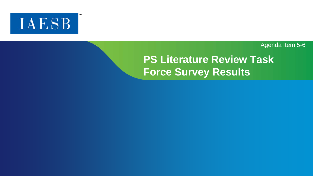

Agenda Item 5-6

# **PS Literature Review Task Force Survey Results**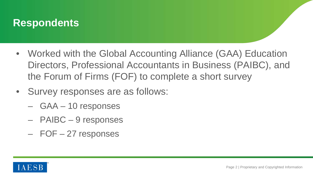

- Worked with the Global Accounting Alliance (GAA) Education Directors, Professional Accountants in Business (PAIBC), and the Forum of Firms (FOF) to complete a short survey
- Survey responses are as follows:
	- GAA 10 responses
	- PAIBC 9 responses
	- FOF 27 responses

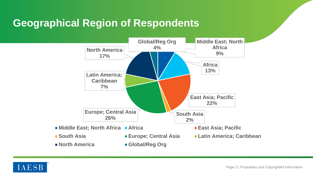# **Geographical Region of Respondents**



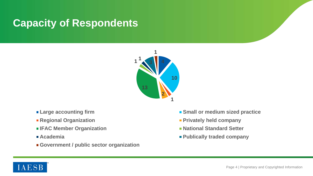# **Capacity of Respondents**



- 
- 
- **IFAC Member Organization National Standard Setter**
- 
- **Government / public sector organization**
- **Example accounting firm SMALL EXAMPLE EXAMPLE EXAMPLE EXAMPLE EXAMPLE EXAMPLE EXAMPLE EXAMPLE EXAMPLE EXAMPLE EXAMPLE EXAMPLE EXAMPLE EXAMPLE EXAMPLE EXAMPLE EXAMPLE EXAMPLE EXAMPLE EXAMPLE EXAMPLE EXAMPLE EXAMPLE EXAMP**
- **Regional Organization Privately held company** 
	-
- **Academia Publically traded company**

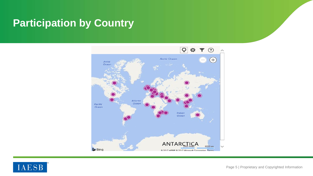# **Participation by Country**



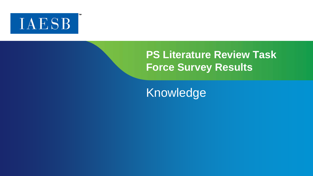

# **PS Literature Review Task Force Survey Results**

Knowledge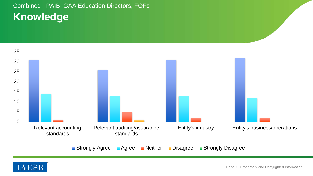# Combined - PAIB, GAA Education Directors, FOFs **Knowledge**



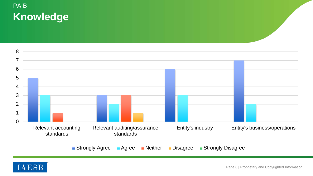# PAIB **Knowledge**



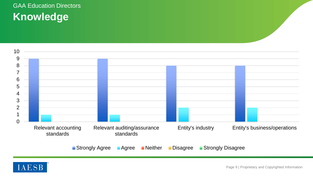# GAA Education Directors **Knowledge**



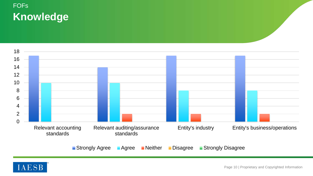# FOFs **Knowledge**



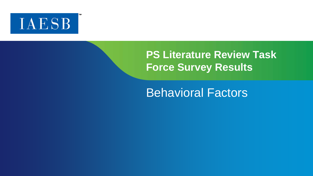

# **PS Literature Review Task Force Survey Results**

# Behavioral Factors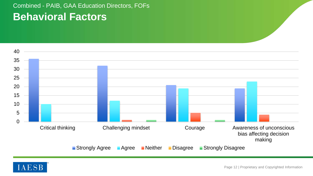## Combined - PAIB, GAA Education Directors, FOFs **Behavioral Factors**



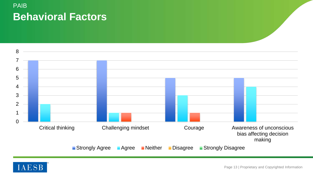# PAIB **Behavioral Factors**



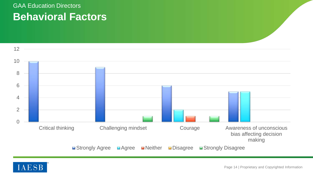## GAA Education Directors **Behavioral Factors**



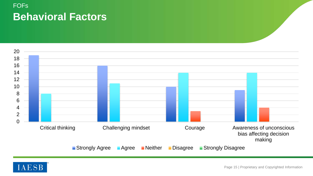# FOFs **Behavioral Factors**



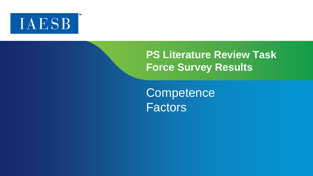

# **PS Literature Review Task Force Survey Results**

**Competence** Factors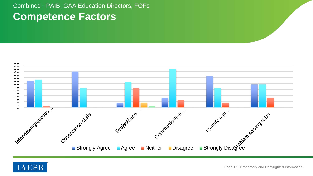## Combined - PAIB, GAA Education Directors, FOFs **Competence Factors**



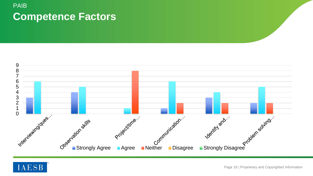## PAIB **Competence Factors**



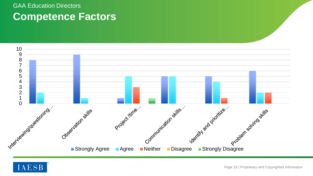## GAA Education Directors **Competence Factors**



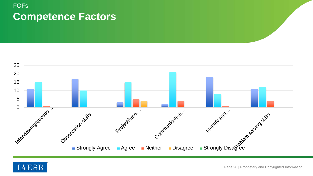## FOFs **Competence Factors**



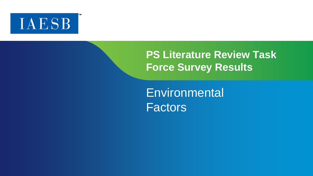

# **PS Literature Review Task Force Survey Results**

**Environmental Factors**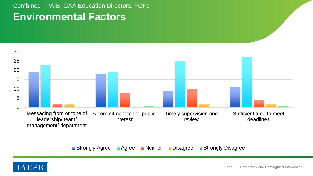## Combined - PAIB, GAA Education Directors, FOFs **Environmental Factors**



**Strongly Agree** Agree Neither Disagree Strongly Disagree

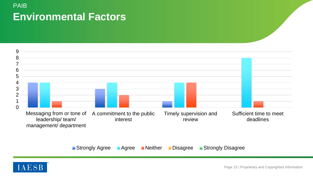## PAIB **Environmental Factors**



**Strongly Agree** Agree Neither Disagree Strongly Disagree

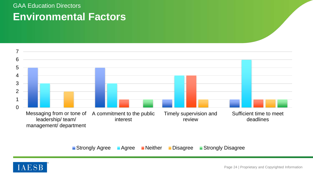## GAA Education Directors **Environmental Factors**



**Strongly Agree • Agree • Neither • Disagree • Strongly Disagree** 

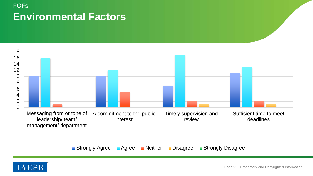# FOFs **Environmental Factors**



**Strongly Agree** Agree Neither Disagree Strongly Disagree

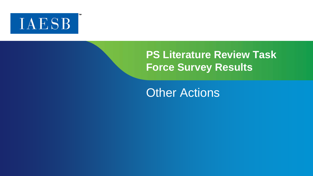

# **PS Literature Review Task Force Survey Results**

Other Actions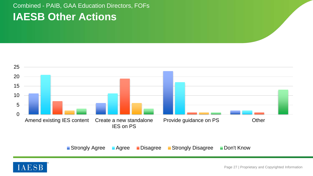### Combined - PAIB, GAA Education Directors, FOFs **IAESB Other Actions**



■ Strongly Agree ■ Agree ■ Disagree ■ Strongly Disagree ■ Don't Know

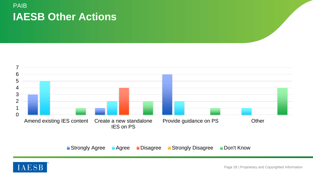### PAIB **IAESB Other Actions**



**Strongly Agree** Agree Disagree Strongly Disagree Don't Know

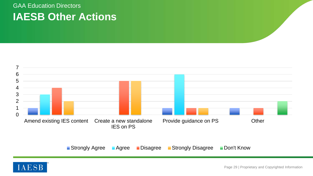### GAA Education Directors **IAESB Other Actions**



**Strongly Agree** Agree Disagree Strongly Disagree Don't Know

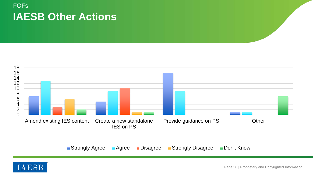### **FOF<sub>s</sub> IAESB Other Actions**



**Strongly Agree** Agree Disagree Strongly Disagree Don't Know

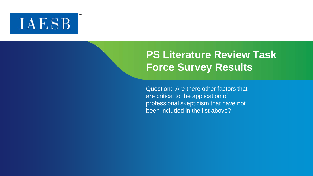# **IAESB**

# **PS Literature Review Task Force Survey Results**

Question: Are there other factors that are critical to the application of professional skepticism that have not been included in the list above?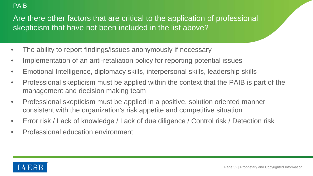#### PAIB

Are there other factors that are critical to the application of professional skepticism that have not been included in the list above?

- The ability to report findings/issues anonymously if necessary
- Implementation of an anti-retaliation policy for reporting potential issues
- Emotional Intelligence, diplomacy skills, interpersonal skills, leadership skills
- Professional skepticism must be applied within the context that the PAIB is part of the management and decision making team
- Professional skepticism must be applied in a positive, solution oriented manner consistent with the organization's risk appetite and competitive situation
- Error risk / Lack of knowledge / Lack of due diligence / Control risk / Detection risk
- Professional education environment

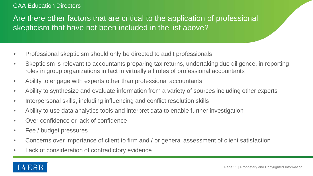#### GAA Education Directors

Are there other factors that are critical to the application of professional skepticism that have not been included in the list above?

- Professional skepticism should only be directed to audit professionals
- Skepticism is relevant to accountants preparing tax returns, undertaking due diligence, in reporting roles in group organizations in fact in virtually all roles of professional accountants
- Ability to engage with experts other than professional accountants
- Ability to synthesize and evaluate information from a variety of sources including other experts
- Interpersonal skills, including influencing and conflict resolution skills
- Ability to use data analytics tools and interpret data to enable further investigation
- Over confidence or lack of confidence
- Fee / budget pressures
- Concerns over importance of client to firm and / or general assessment of client satisfaction
- Lack of consideration of contradictory evidence

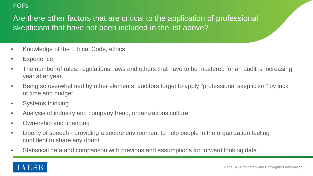#### **FOF<sub>s</sub>**

Are there other factors that are critical to the application of professional skepticism that have not been included in the list above?

- Knowledge of the Ethical Code, ethics
- **Experience**
- The number of rules, regulations, laws and others that have to be mastered for an audit is increasing year after year.
- Being so overwhelmed by other elements, auditors forget to apply "professional skepticism" by lack of time and budget
- Systems thinking
- Analysis of industry and company trend, organizations culture
- Ownership and financing
- Liberty of speech providing a secure environment to help people in the organization feeling confident to share any doubt
- Statistical data and comparison with previous and assumptions for forward looking data

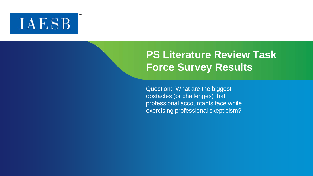# **IAESB**

# **PS Literature Review Task Force Survey Results**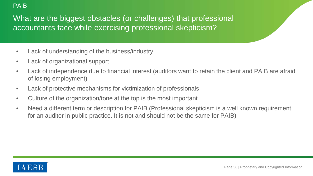#### PAIB

- Lack of understanding of the business/industry
- Lack of organizational support
- Lack of independence due to financial interest (auditors want to retain the client and PAIB are afraid of losing employment)
- Lack of protective mechanisms for victimization of professionals
- Culture of the organization/tone at the top is the most important
- Need a different term or description for PAIB (Professional skepticism is a well known requirement for an auditor in public practice. It is not and should not be the same for PAIB)

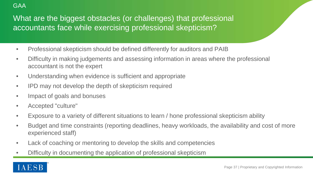#### **GAA**

- Professional skepticism should be defined differently for auditors and PAIB
- Difficulty in making judgements and assessing information in areas where the professional accountant is not the expert
- Understanding when evidence is sufficient and appropriate
- IPD may not develop the depth of skepticism required
- Impact of goals and bonuses
- Accepted "culture"
- Exposure to a variety of different situations to learn / hone professional skepticism ability
- Budget and time constraints (reporting deadlines, heavy workloads, the availability and cost of more experienced staff)
- Lack of coaching or mentoring to develop the skills and competencies
- Difficulty in documenting the application of professional skepticism

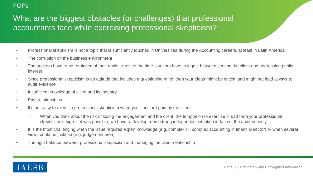#### FOFs

- Professional skepticism is not a topic that is sufficiently touched in Universities during the Accounting careers, at least in Latin America
- The corruption on the business environment
- The auditors have to be reminded of their goals most of the time, auditors have to juggle between serving the client and addressing public interest
- Since professional skepticism is an attitude that includes a questioning mind, then your ideas might be critical and might not lead always to audit evidence
- Insufficient knowledge of client and its industry
- Past relationships
- It's not easy to exercise professional skepticism when your fees are paid by the client.
	- When you think about the risk of losing the engagement and the client, the temptation to exercise in bad form your professional skepticism is high. If it was possible, we have to develop more strong independent situation in face of the audited entity.
- It is the most challenging when the issue requires expert knowledge (e.g. complex IT, complex accounting in financial sector) or when several views could be justified (e.g. judgement area)
- The right balance between professional skepticism and managing the client relationship

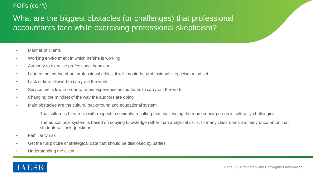#### FOFs (con't)

- Manner of clients
- Working environment in which he/she is working
- Authority to exercise professional behavior
- Leaders not caring about professional ethics, it will impair the professional skepticism mind set
- Lack of time allowed to carry out the work
- Service fee is low in order to retain experience accountants to carry out the work
- Changing the mindset of the way the auditors are doing
- Main obstacles are the cultural background and educational system
	- Thai culture is hierarchic with respect to seniority, resulting that challenging the more senior person is culturally challenging
	- The educational system is based on copying knowledge rather than analytical skills. In many classrooms it is fairly uncommon that students will ask questions.
- Familiarity risk
- Get the full picture of strategical data that should be disclosed by parties
- Understanding the client

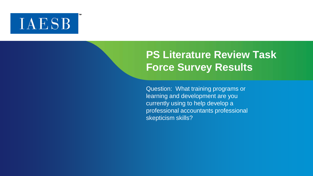# **IAESB**

# **PS Literature Review Task Force Survey Results**

Question: What training programs or learning and development are you currently using to help develop a professional accountants professional skepticism skills?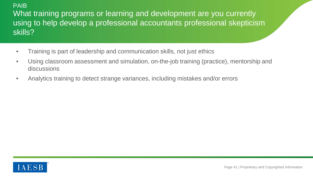### PAIB What training programs or learning and development are you currently using to help develop a professional accountants professional skepticism skills?

- Training is part of leadership and communication skills, not just ethics
- Using classroom assessment and simulation, on-the-job training (practice), mentorship and discussions
- Analytics training to detect strange variances, including mistakes and/or errors

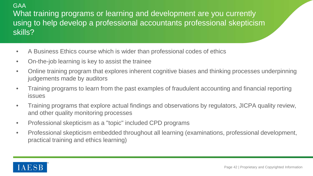### GAA What training programs or learning and development are you currently using to help develop a professional accountants professional skepticism skills?

- A Business Ethics course which is wider than professional codes of ethics
- On-the-job learning is key to assist the trainee
- Online training program that explores inherent cognitive biases and thinking processes underpinning judgements made by auditors
- Training programs to learn from the past examples of fraudulent accounting and financial reporting issues
- Training programs that explore actual findings and observations by regulators, JICPA quality review, and other quality monitoring processes
- Professional skepticism as a "topic" included CPD programs
- Professional skepticism embedded throughout all learning (examinations, professional development, practical training and ethics learning)

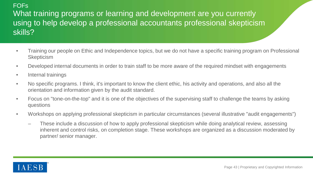### **FOF<sub>s</sub>** What training programs or learning and development are you currently using to help develop a professional accountants professional skepticism skills?

- Training our people on Ethic and Independence topics, but we do not have a specific training program on Professional **Skepticism**
- Developed internal documents in order to train staff to be more aware of the required mindset with engagements
- Internal trainings
- No specific programs. I think, it's important to know the client ethic, his activity and operations, and also all the orientation and information given by the audit standard.
- Focus on "tone-on-the-top" and it is one of the objectives of the supervising staff to challenge the teams by asking questions
- Workshops on applying professional skepticism in particular circumstances (several illustrative "audit engagements")
	- These include a discussion of how to apply professional skepticism while doing analytical review, assessing inherent and control risks, on completion stage. These workshops are organized as a discussion moderated by partner/ senior manager.

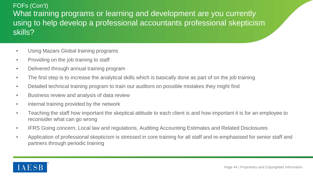### FOFs (Con't) What training programs or learning and development are you currently using to help develop a professional accountants professional skepticism skills?

- Using Mazars Global training programs
- Providing on the job training to staff
- Delivered through annual training program
- The first step is to increase the analytical skills which is basically done as part of on the job training
- Detailed technical training program to train our auditors on possible mistakes they might find
- Business review and analysis of data review
- internal training provided by the network
- Teaching the staff how important the skeptical attitude to each client is and how important it is for an employee to reconsider what can go wrong
- IFRS Going concern, Local law and regulations, Auditing Accounting Estimates and Related Disclosures
- Application of professional skepticism is stressed in core training for all staff and re-emphasised for senior staff and partners through periodic training

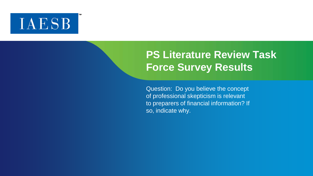# **IAESB**

# **PS Literature Review Task Force Survey Results**

Question: Do you believe the concept of professional skepticism is relevant to preparers of financial information? If so, indicate why.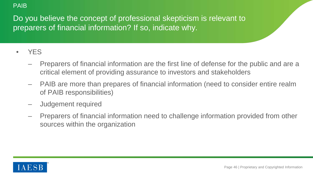#### PAIB

Do you believe the concept of professional skepticism is relevant to preparers of financial information? If so, indicate why.

- YES
	- Preparers of financial information are the first line of defense for the public and are a critical element of providing assurance to investors and stakeholders
	- PAIB are more than prepares of financial information (need to consider entire realm of PAIB responsibilities)
	- Judgement required
	- Preparers of financial information need to challenge information provided from other sources within the organization

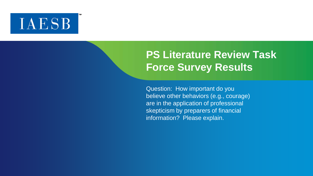# **IAESB**

# **PS Literature Review Task Force Survey Results**

Question: How important do you believe other behaviors (e.g., courage) are in the application of professional skepticism by preparers of financial information? Please explain.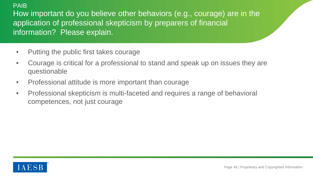#### PAIB

How important do you believe other behaviors (e.g., courage) are in the application of professional skepticism by preparers of financial information? Please explain.

- Putting the public first takes courage
- Courage is critical for a professional to stand and speak up on issues they are questionable
- Professional attitude is more important than courage
- Professional skepticism is multi-faceted and requires a range of behavioral competences, not just courage

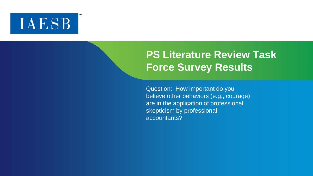# **IAESB**

# **PS Literature Review Task Force Survey Results**

Question: How important do you believe other behaviors (e.g., courage) are in the application of professional skepticism by professional accountants?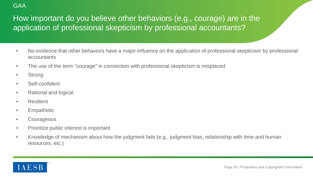#### **GAA**

### How important do you believe other behaviors (e.g., courage) are in the application of professional skepticism by professional accountants?

- No evidence that other behaviors have a major influence on the application of professional skepticism by professional accountants
- The use of the term "courage" in connection with professional skepticism is misplaced
- Strong
- Self-confident
- Rational and logical
- **Resilient**
- Empathetic
- Courageous
- Prioritize public interest is important
- Knowledge of mechanism about how the judgment fails (e.g., judgment bias, relationship with time and human resources, etc.)

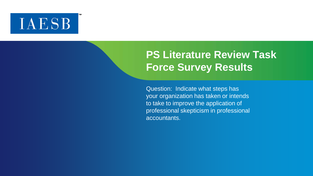# **IAESB**

# **PS Literature Review Task Force Survey Results**

Question: Indicate what steps has your organization has taken or intends to take to improve the application of professional skepticism in professional accountants.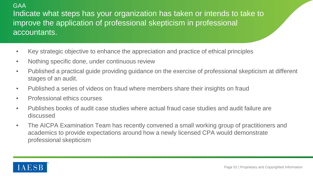#### **GAA**

Indicate what steps has your organization has taken or intends to take to improve the application of professional skepticism in professional accountants.

- Key strategic objective to enhance the appreciation and practice of ethical principles
- Nothing specific done, under continuous review
- Published a practical guide providing guidance on the exercise of professional skepticism at different stages of an audit.
- Published a series of videos on fraud where members share their insights on fraud
- Professional ethics courses
- Publishes books of audit case studies where actual fraud case studies and audit failure are discussed
- The AICPA Examination Team has recently convened a small working group of practitioners and academics to provide expectations around how a newly licensed CPA would demonstrate professional skepticism

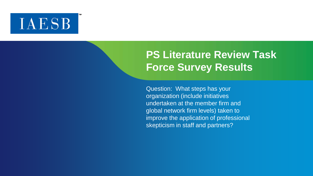# **IAESB**

# **PS Literature Review Task Force Survey Results**

Question: What steps has your organization (include initiatives undertaken at the member firm and global network firm levels) taken to improve the application of professional skepticism in staff and partners?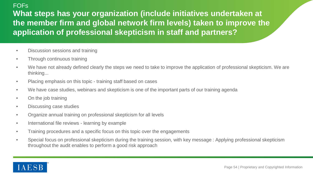#### **FOF<sub>s</sub>**

**What steps has your organization (include initiatives undertaken at the member firm and global network firm levels) taken to improve the application of professional skepticism in staff and partners?**

- Discussion sessions and training
- Through continuous training
- We have not already defined clearly the steps we need to take to improve the application of professional skepticism. We are thinking...
- Placing emphasis on this topic training staff based on cases
- We have case studies, webinars and skepticism is one of the important parts of our training agenda
- On the job training
- Discussing case studies
- Organize annual training on professional skepticism for all levels
- International file reviews learning by example
- Training procedures and a specific focus on this topic over the engagements
- Special focus on professional skepticism during the training session, with key message : Applying professional skepticism throughout the audit enables to perform a good risk approach

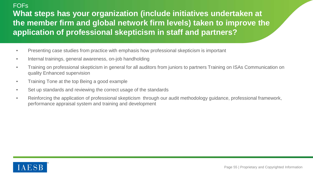### **FOF<sub>s</sub> What steps has your organization (include initiatives undertaken at the member firm and global network firm levels) taken to improve the application of professional skepticism in staff and partners?**

- Presenting case studies from practice with emphasis how professional skepticism is important
- Internal trainings, general awareness, on-job handholding
- Training on professional skepticism in general for all auditors from juniors to partners Training on ISAs Communication on quality Enhanced supervision
- Training Tone at the top Being a good example
- Set up standards and reviewing the correct usage of the standards
- Reinforcing the application of professional skepticism through our audit methodology guidance, professional framework, performance appraisal system and training and development

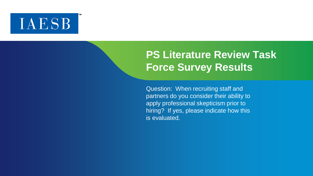# **IAESB**

# **PS Literature Review Task Force Survey Results**

Question: When recruiting staff and partners do you consider their ability to apply professional skepticism prior to hiring? If yes, please indicate how this is evaluated.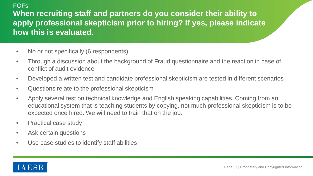### FOFs **When recruiting staff and partners do you consider their ability to apply professional skepticism prior to hiring? If yes, please indicate how this is evaluated.**

- No or not specifically (6 respondents)
- Through a discussion about the background of Fraud questionnaire and the reaction in case of conflict of audit evidence
- Developed a written test and candidate professional skepticism are tested in different scenarios
- Questions relate to the professional skepticism
- Apply several test on technical knowledge and English speaking capabilities. Coming from an educational system that is teaching students by copying, not much professional skepticism is to be expected once hired. We will need to train that on the job.
- Practical case study
- Ask certain questions
- Use case studies to identify staff abilities